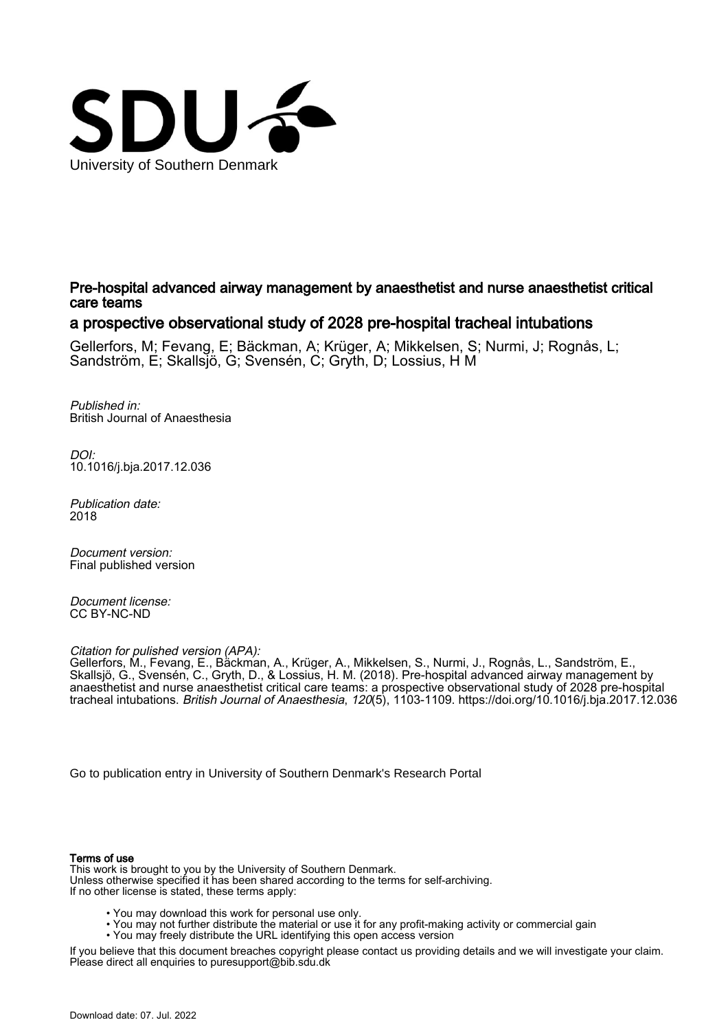

Pre-hospital advanced airway management by anaesthetist and nurse anaesthetist critical care teams

# a prospective observational study of 2028 pre-hospital tracheal intubations

Gellerfors, M; Fevang, E; Bäckman, A; Krüger, A; Mikkelsen, S; Nurmi, J; Rognås, L; Sandström, E; Skallsjö, G; Svensén, C; Gryth, D; Lossius, H M

Published in: British Journal of Anaesthesia

DOI: [10.1016/j.bja.2017.12.036](https://doi.org/10.1016/j.bja.2017.12.036)

Publication date: 2018

Document version: Final published version

Document license: CC BY-NC-ND

Citation for pulished version (APA):

Gellerfors, M., Fevang, E., Bäckman, A., Krüger, A., Mikkelsen, S., Nurmi, J., Rognås, L., Sandström, E., Skallsjö, G., Svensén, C., Gryth, D., & Lossius, H. M. (2018). Pre-hospital advanced airway management by anaesthetist and nurse anaesthetist critical care teams: a prospective observational study of 2028 pre-hospital tracheal intubations. British Journal of Anaesthesia, 120(5), 1103-1109. <https://doi.org/10.1016/j.bja.2017.12.036>

[Go to publication entry in University of Southern Denmark's Research Portal](https://portal.findresearcher.sdu.dk/en/publications/bcec7fc8-64bb-4b5f-b712-1457cce19600)

# Terms of use

This work is brought to you by the University of Southern Denmark. Unless otherwise specified it has been shared according to the terms for self-archiving. If no other license is stated, these terms apply:

- You may download this work for personal use only.
- You may not further distribute the material or use it for any profit-making activity or commercial gain
	- You may freely distribute the URL identifying this open access version

If you believe that this document breaches copyright please contact us providing details and we will investigate your claim. Please direct all enquiries to puresupport@bib.sdu.dk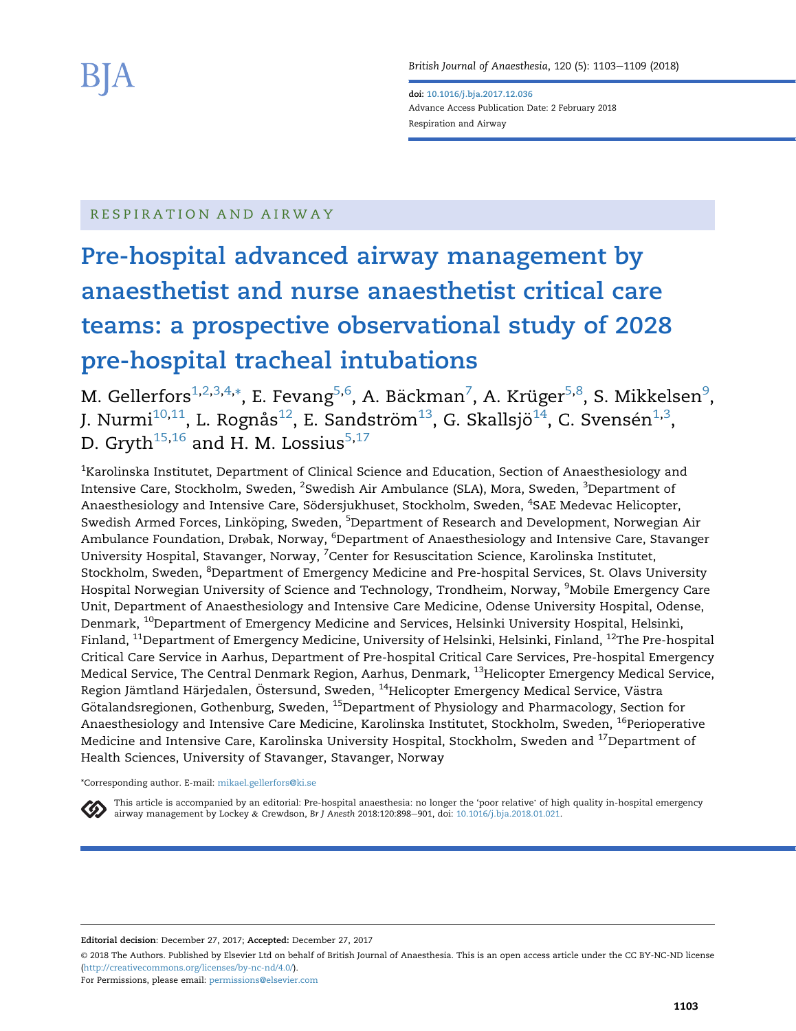British Journal of Anaesthesia, 120 (5): 1103-1109 (2018)

doi: [10.1016/j.bja.2017.12.036](https://doi.org/10.1016/j.bja.2017.12.036) Advance Access Publication Date: 2 February 2018 Respiration and Airway

# RESPIRATION AND AIRWAY

# Pre-hospital advanced airway management by anaesthetist and nurse anaesthetist critical care teams: a prospective observational study of 2028 pre-hospital tracheal intubations

M. Gellerfors $^{\rm 1,2,3,4,*},$  E. Fevang $^{\rm 5,6}$ , A. Bäckman $^7$ , A. Krüger $^{\rm 5,8}$ , S. Mikkelsen $^{\rm 9}$ , J. Nurmi $^{10,11}$ , L. Rognås $^{12}$ , E. Sandström $^{13}$ , G. Skallsjö $^{14}$ , C. Svensén $^{1,3}$ , D. Gryth<sup>15,16</sup> and H. M. Lossius<sup>5,17</sup>

 $^{\rm 1}$ Karolinska Institutet, Department of Clinical Science and Education, Section of Anaesthesiology and Intensive Care, Stockholm, Sweden, <sup>2</sup>Swedish Air Ambulance (SLA), Mora, Sweden, <sup>3</sup>Department of Anaesthesiology and Intensive Care, Södersjukhuset, Stockholm, Sweden, <sup>4</sup>SAE Medevac Helicopter, Swedish Armed Forces, Linköping, Sweden, <sup>5</sup>Department of Research and Development, Norwegian Air Ambulance Foundation, Drøbak, Norway, <sup>6</sup>Department of Anaesthesiology and Intensive Care, Stavanger University Hospital, Stavanger, Norway, <sup>7</sup>Center for Resuscitation Science, Karolinska Institutet, Stockholm, Sweden, <sup>8</sup>Department of Emergency Medicine and Pre-hospital Services, St. Olavs University Hospital Norwegian University of Science and Technology, Trondheim, Norway, <sup>9</sup>Mobile Emergency Care Unit, Department of Anaesthesiology and Intensive Care Medicine, Odense University Hospital, Odense, Denmark, <sup>10</sup>Department of Emergency Medicine and Services, Helsinki University Hospital, Helsinki, Finland, <sup>11</sup>Department of Emergency Medicine, University of Helsinki, Helsinki, Finland, <sup>12</sup>The Pre-hospital Critical Care Service in Aarhus, Department of Pre-hospital Critical Care Services, Pre-hospital Emergency Medical Service, The Central Denmark Region, Aarhus, Denmark, <sup>13</sup>Helicopter Emergency Medical Service, Region Jämtland Härjedalen, Östersund, Sweden, <sup>14</sup>Helicopter Emergency Medical Service, Västra Götalandsregionen, Gothenburg, Sweden, <sup>15</sup>Department of Physiology and Pharmacology, Section for Anaesthesiology and Intensive Care Medicine, Karolinska Institutet, Stockholm, Sweden, <sup>16</sup>Perioperative Medicine and Intensive Care, Karolinska University Hospital, Stockholm, Sweden and <sup>17</sup>Department of Health Sciences, University of Stavanger, Stavanger, Norway

#### \*Corresponding author. E-mail: [mikael.gellerfors@ki.se](mailto:mikael.gellerfors@ki.se)

This article is accompanied by an editorial: Pre-hospital anaesthesia: no longer the 'poor relative' of high quality in-hospital emergency airway management by Lockey & Crewdson, Br J Anesth 2018:120:898-901, doi: [10.1016/j.bja.2018.01.021](http://10.1016/j.bja.2018.01.021).

Editorial decision: December 27, 2017; Accepted: December 27, 2017

© 2018 The Authors. Published by Elsevier Ltd on behalf of British Journal of Anaesthesia. This is an open access article under the CC BY-NC-ND license [\(http://creativecommons.org/licenses/by-nc-nd/4.0/\)](http://creativecommons.org/licenses/by-nc-nd/4.0/).

For Permissions, please email: [permissions@elsevier.com](mailto:permissions@elsevier.com)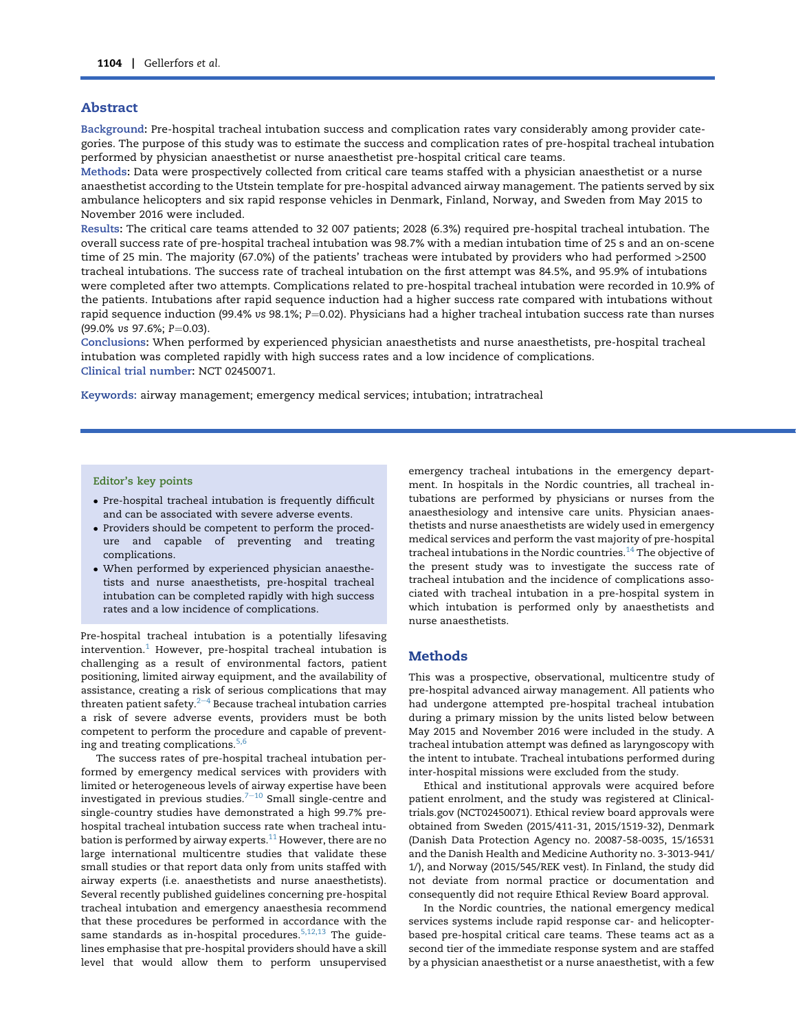# Abstract

Background: Pre-hospital tracheal intubation success and complication rates vary considerably among provider categories. The purpose of this study was to estimate the success and complication rates of pre-hospital tracheal intubation performed by physician anaesthetist or nurse anaesthetist pre-hospital critical care teams.

Methods: Data were prospectively collected from critical care teams staffed with a physician anaesthetist or a nurse anaesthetist according to the Utstein template for pre-hospital advanced airway management. The patients served by six ambulance helicopters and six rapid response vehicles in Denmark, Finland, Norway, and Sweden from May 2015 to November 2016 were included.

Results: The critical care teams attended to 32 007 patients; 2028 (6.3%) required pre-hospital tracheal intubation. The overall success rate of pre-hospital tracheal intubation was 98.7% with a median intubation time of 25 s and an on-scene time of 25 min. The majority (67.0%) of the patients' tracheas were intubated by providers who had performed >2500 tracheal intubations. The success rate of tracheal intubation on the first attempt was 84.5%, and 95.9% of intubations were completed after two attempts. Complications related to pre-hospital tracheal intubation were recorded in 10.9% of the patients. Intubations after rapid sequence induction had a higher success rate compared with intubations without rapid sequence induction (99.4% vs 98.1%;  $P=0.02$ ). Physicians had a higher tracheal intubation success rate than nurses (99.0% vs 97.6%; P=0.03).

Conclusions: When performed by experienced physician anaesthetists and nurse anaesthetists, pre-hospital tracheal intubation was completed rapidly with high success rates and a low incidence of complications. Clinical trial number: NCT 02450071.

Keywords: airway management; emergency medical services; intubation; intratracheal

## Editor's key points

- Pre-hospital tracheal intubation is frequently difficult and can be associated with severe adverse events.
- Providers should be competent to perform the procedure and capable of preventing and treating complications.
- When performed by experienced physician anaesthetists and nurse anaesthetists, pre-hospital tracheal intubation can be completed rapidly with high success rates and a low incidence of complications.

Pre-hospital tracheal intubation is a potentially lifesaving  $intervention.<sup>1</sup>$  $intervention.<sup>1</sup>$  $intervention.<sup>1</sup>$  However, pre-hospital tracheal intubation is challenging as a result of environmental factors, patient positioning, limited airway equipment, and the availability of assistance, creating a risk of serious complications that may threaten patient safety. $2-4$  $2-4$  $2-4$  Because tracheal intubation carries a risk of severe adverse events, providers must be both competent to perform the procedure and capable of prevent-ing and treating complications.<sup>[5,6](#page-7-0)</sup>

The success rates of pre-hospital tracheal intubation performed by emergency medical services with providers with limited or heterogeneous levels of airway expertise have been investigated in previous studies. $7-10$  $7-10$  $7-10$  Small single-centre and single-country studies have demonstrated a high 99.7% prehospital tracheal intubation success rate when tracheal intubation is performed by airway experts. $^{11}$  $^{11}$  $^{11}$  However, there are no large international multicentre studies that validate these small studies or that report data only from units staffed with airway experts (i.e. anaesthetists and nurse anaesthetists). Several recently published guidelines concerning pre-hospital tracheal intubation and emergency anaesthesia recommend that these procedures be performed in accordance with the same standards as in-hospital procedures. $5,12,13$  The guidelines emphasise that pre-hospital providers should have a skill level that would allow them to perform unsupervised

emergency tracheal intubations in the emergency department. In hospitals in the Nordic countries, all tracheal intubations are performed by physicians or nurses from the anaesthesiology and intensive care units. Physician anaesthetists and nurse anaesthetists are widely used in emergency medical services and perform the vast majority of pre-hospital tracheal intubations in the Nordic countries. $14$  The objective of the present study was to investigate the success rate of tracheal intubation and the incidence of complications associated with tracheal intubation in a pre-hospital system in which intubation is performed only by anaesthetists and nurse anaesthetists.

# **Methods**

This was a prospective, observational, multicentre study of pre-hospital advanced airway management. All patients who had undergone attempted pre-hospital tracheal intubation during a primary mission by the units listed below between May 2015 and November 2016 were included in the study. A tracheal intubation attempt was defined as laryngoscopy with the intent to intubate. Tracheal intubations performed during inter-hospital missions were excluded from the study.

Ethical and institutional approvals were acquired before patient enrolment, and the study was registered at Clinicaltrials.gov (NCT02450071). Ethical review board approvals were obtained from Sweden (2015/411-31, 2015/1519-32), Denmark (Danish Data Protection Agency no. 20087-58-0035, 15/16531 and the Danish Health and Medicine Authority no. 3-3013-941/ 1/), and Norway (2015/545/REK vest). In Finland, the study did not deviate from normal practice or documentation and consequently did not require Ethical Review Board approval.

In the Nordic countries, the national emergency medical services systems include rapid response car- and helicopterbased pre-hospital critical care teams. These teams act as a second tier of the immediate response system and are staffed by a physician anaesthetist or a nurse anaesthetist, with a few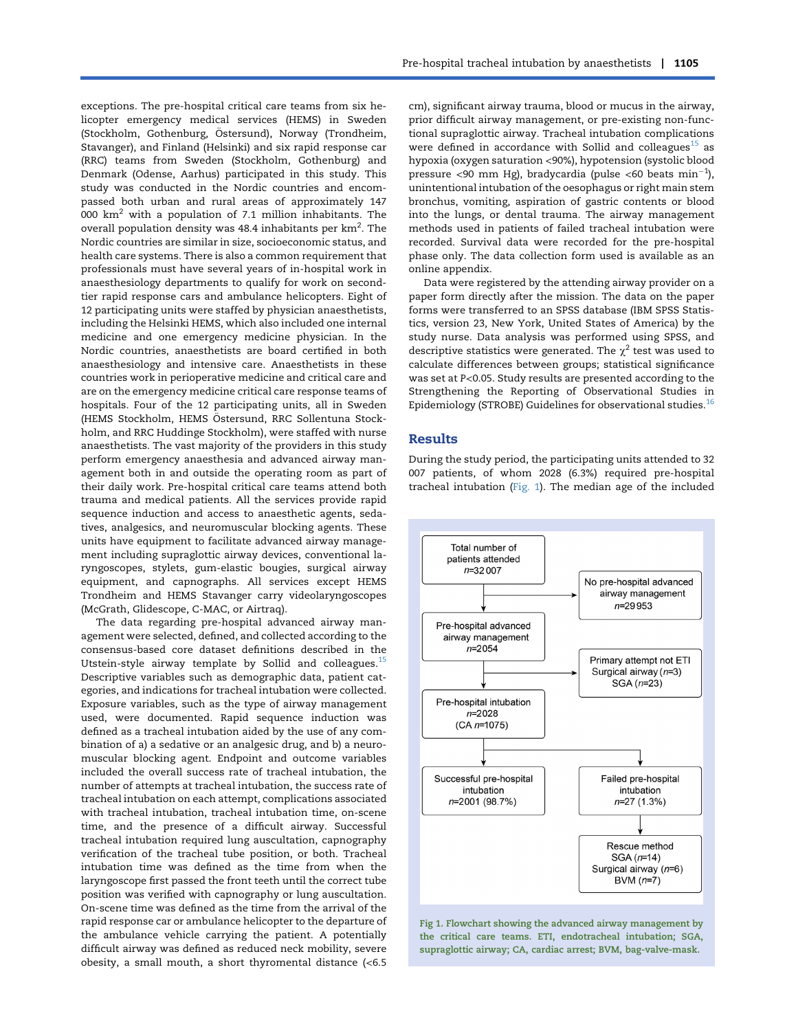exceptions. The pre-hospital critical care teams from six helicopter emergency medical services (HEMS) in Sweden (Stockholm, Gothenburg, Östersund), Norway (Trondheim, Stavanger), and Finland (Helsinki) and six rapid response car (RRC) teams from Sweden (Stockholm, Gothenburg) and Denmark (Odense, Aarhus) participated in this study. This study was conducted in the Nordic countries and encompassed both urban and rural areas of approximately 147 000  $km<sup>2</sup>$  with a population of 7.1 million inhabitants. The overall population density was 48.4 inhabitants per km $^2\!\!$  . The Nordic countries are similar in size, socioeconomic status, and health care systems. There is also a common requirement that professionals must have several years of in-hospital work in anaesthesiology departments to qualify for work on secondtier rapid response cars and ambulance helicopters. Eight of 12 participating units were staffed by physician anaesthetists, including the Helsinki HEMS, which also included one internal medicine and one emergency medicine physician. In the Nordic countries, anaesthetists are board certified in both anaesthesiology and intensive care. Anaesthetists in these countries work in perioperative medicine and critical care and are on the emergency medicine critical care response teams of hospitals. Four of the 12 participating units, all in Sweden (HEMS Stockholm, HEMS Östersund, RRC Sollentuna Stockholm, and RRC Huddinge Stockholm), were staffed with nurse anaesthetists. The vast majority of the providers in this study perform emergency anaesthesia and advanced airway management both in and outside the operating room as part of their daily work. Pre-hospital critical care teams attend both trauma and medical patients. All the services provide rapid sequence induction and access to anaesthetic agents, sedatives, analgesics, and neuromuscular blocking agents. These units have equipment to facilitate advanced airway management including supraglottic airway devices, conventional laryngoscopes, stylets, gum-elastic bougies, surgical airway equipment, and capnographs. All services except HEMS Trondheim and HEMS Stavanger carry videolaryngoscopes (McGrath, Glidescope, C-MAC, or Airtraq).

The data regarding pre-hospital advanced airway management were selected, defined, and collected according to the consensus-based core dataset definitions described in the Utstein-style airway template by Sollid and colleagues.<sup>[15](#page-7-0)</sup> Descriptive variables such as demographic data, patient categories, and indications for tracheal intubation were collected. Exposure variables, such as the type of airway management used, were documented. Rapid sequence induction was defined as a tracheal intubation aided by the use of any combination of a) a sedative or an analgesic drug, and b) a neuromuscular blocking agent. Endpoint and outcome variables included the overall success rate of tracheal intubation, the number of attempts at tracheal intubation, the success rate of tracheal intubation on each attempt, complications associated with tracheal intubation, tracheal intubation time, on-scene time, and the presence of a difficult airway. Successful tracheal intubation required lung auscultation, capnography verification of the tracheal tube position, or both. Tracheal intubation time was defined as the time from when the laryngoscope first passed the front teeth until the correct tube position was verified with capnography or lung auscultation. On-scene time was defined as the time from the arrival of the rapid response car or ambulance helicopter to the departure of the ambulance vehicle carrying the patient. A potentially difficult airway was defined as reduced neck mobility, severe obesity, a small mouth, a short thyromental distance (<6.5

cm), significant airway trauma, blood or mucus in the airway, prior difficult airway management, or pre-existing non-functional supraglottic airway. Tracheal intubation complications were defined in accordance with Sollid and colleagues<sup>[15](#page-7-0)</sup> as hypoxia (oxygen saturation <90%), hypotension (systolic blood pressure <90 mm Hg), bradycardia (pulse <60 beats  $\rm min^{-1}$ ), unintentional intubation of the oesophagus or right main stem bronchus, vomiting, aspiration of gastric contents or blood into the lungs, or dental trauma. The airway management methods used in patients of failed tracheal intubation were recorded. Survival data were recorded for the pre-hospital phase only. The data collection form used is available as an online appendix.

Data were registered by the attending airway provider on a paper form directly after the mission. The data on the paper forms were transferred to an SPSS database (IBM SPSS Statistics, version 23, New York, United States of America) by the study nurse. Data analysis was performed using SPSS, and descriptive statistics were generated. The  $\chi^2$  test was used to calculate differences between groups; statistical significance was set at P<0.05. Study results are presented according to the Strengthening the Reporting of Observational Studies in Epidemiology (STROBE) Guidelines for observational studies.[16](#page-7-0)

#### Results

During the study period, the participating units attended to 32 007 patients, of whom 2028 (6.3%) required pre-hospital tracheal intubation (Fig. 1). The median age of the included



Fig 1. Flowchart showing the advanced airway management by the critical care teams. ETI, endotracheal intubation; SGA, supraglottic airway; CA, cardiac arrest; BVM, bag-valve-mask.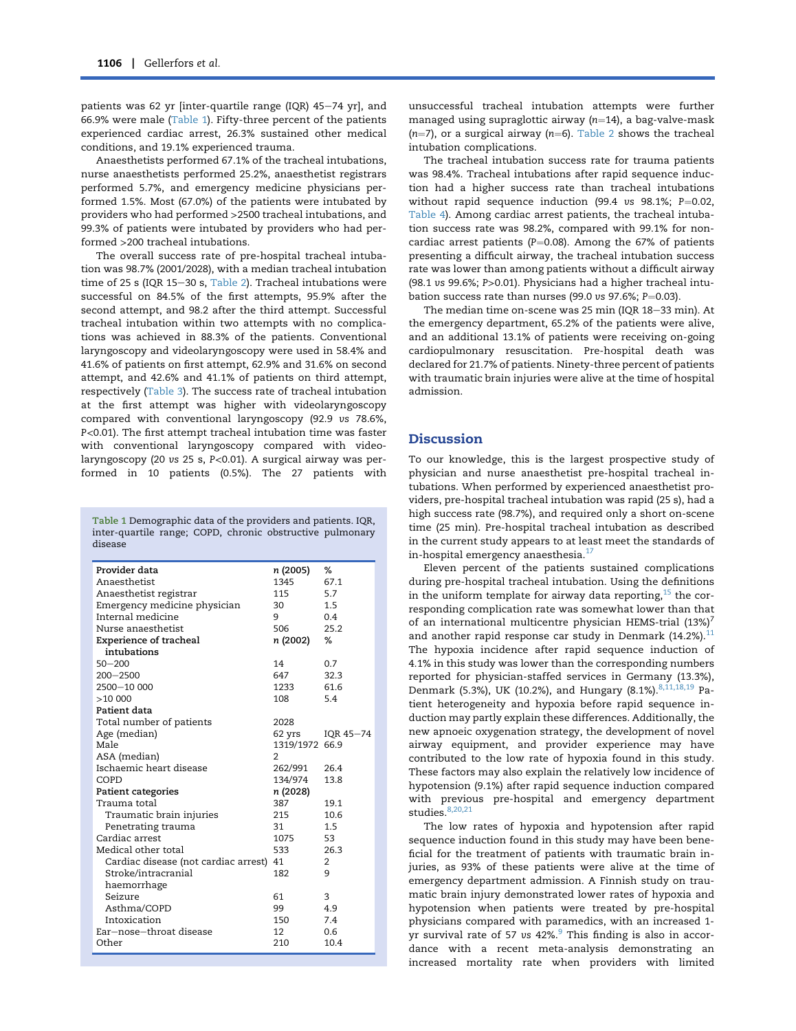patients was 62 yr [inter-quartile range (IQR)  $45-74$  yr], and 66.9% were male (Table 1). Fifty-three percent of the patients experienced cardiac arrest, 26.3% sustained other medical conditions, and 19.1% experienced trauma.

Anaesthetists performed 67.1% of the tracheal intubations, nurse anaesthetists performed 25.2%, anaesthetist registrars performed 5.7%, and emergency medicine physicians performed 1.5%. Most (67.0%) of the patients were intubated by providers who had performed >2500 tracheal intubations, and 99.3% of patients were intubated by providers who had performed >200 tracheal intubations.

The overall success rate of pre-hospital tracheal intubation was 98.7% (2001/2028), with a median tracheal intubation time of 25 s (IQR 15-30 s, [Table 2\)](#page-5-0). Tracheal intubations were successful on 84.5% of the first attempts, 95.9% after the second attempt, and 98.2 after the third attempt. Successful tracheal intubation within two attempts with no complications was achieved in 88.3% of the patients. Conventional laryngoscopy and videolaryngoscopy were used in 58.4% and 41.6% of patients on first attempt, 62.9% and 31.6% on second attempt, and 42.6% and 41.1% of patients on third attempt, respectively [\(Table 3\)](#page-5-0). The success rate of tracheal intubation at the first attempt was higher with videolaryngoscopy compared with conventional laryngoscopy (92.9 vs 78.6%, P<0.01). The first attempt tracheal intubation time was faster with conventional laryngoscopy compared with videolaryngoscopy (20 vs 25 s, P<0.01). A surgical airway was performed in 10 patients (0.5%). The 27 patients with

Table 1 Demographic data of the providers and patients. IQR, inter-quartile range; COPD, chronic obstructive pulmonary disease

| Provider data                        | n (2005)       | ℅         |
|--------------------------------------|----------------|-----------|
| Anaesthetist                         | 1345           | 67.1      |
| Anaesthetist registrar               | 115            | 5.7       |
| Emergency medicine physician         | 30             | 1.5       |
| Internal medicine                    | 9              | 0.4       |
| Nurse anaesthetist                   | 506            | 25.2      |
| <b>Experience of tracheal</b>        | n (2002)       | ℅         |
| intubations                          |                |           |
| $50 - 200$                           | 14             | 0.7       |
| $200 - 2500$                         | 647            | 32.3      |
| 2500-10 000                          | 1233           | 61.6      |
| >10000                               | 108            | 5.4       |
| Patient data                         |                |           |
| Total number of patients             | 2028           |           |
| Age (median)                         | 62 yrs         | IQR 45-74 |
| Male                                 | 1319/1972 66.9 |           |
| ASA (median)                         | $\overline{2}$ |           |
| Ischaemic heart disease              | 262/991        | 26.4      |
| COPD                                 | 134/974        | 13.8      |
| <b>Patient categories</b>            | n (2028)       |           |
| Trauma total                         | 387            | 19.1      |
| Traumatic brain injuries             | 215            | 10.6      |
| Penetrating trauma                   | 31             | $1.5\,$   |
| Cardiac arrest                       | 1075           | 53        |
| Medical other total                  | 533            | 26.3      |
| Cardiac disease (not cardiac arrest) | 41             | 2         |
| Stroke/intracranial                  | 182            | 9         |
| haemorrhage                          |                |           |
| Seizure                              | 61             | 3         |
| Asthma/COPD                          | 99             | 4.9       |
| Intoxication                         | 150            | 7.4       |
| Ear-nose-throat disease              | 12             | 0.6       |
| Other                                | 210            | 10.4      |

unsuccessful tracheal intubation attempts were further managed using supraglottic airway  $(n=14)$ , a bag-valve-mask  $(n=7)$ , or a surgical airway  $(n=6)$ . [Table 2](#page-5-0) shows the tracheal intubation complications.

The tracheal intubation success rate for trauma patients was 98.4%. Tracheal intubations after rapid sequence induction had a higher success rate than tracheal intubations without rapid sequence induction (99.4 vs 98.1%;  $P=0.02$ , [Table 4\)](#page-6-0). Among cardiac arrest patients, the tracheal intubation success rate was 98.2%, compared with 99.1% for noncardiac arrest patients (P=0.08). Among the 67% of patients presenting a difficult airway, the tracheal intubation success rate was lower than among patients without a difficult airway (98.1 vs 99.6%; P>0.01). Physicians had a higher tracheal intubation success rate than nurses (99.0 vs 97.6%;  $P=0.03$ ).

The median time on-scene was 25 min (IOR 18-33 min). At the emergency department, 65.2% of the patients were alive, and an additional 13.1% of patients were receiving on-going cardiopulmonary resuscitation. Pre-hospital death was declared for 21.7% of patients. Ninety-three percent of patients with traumatic brain injuries were alive at the time of hospital admission.

# **Discussion**

To our knowledge, this is the largest prospective study of physician and nurse anaesthetist pre-hospital tracheal intubations. When performed by experienced anaesthetist providers, pre-hospital tracheal intubation was rapid (25 s), had a high success rate (98.7%), and required only a short on-scene time (25 min). Pre-hospital tracheal intubation as described in the current study appears to at least meet the standards of in-hospital emergency anaesthesia.<sup>[17](#page-7-0)</sup>

Eleven percent of the patients sustained complications during pre-hospital tracheal intubation. Using the definitions in the uniform template for airway data reporting,  $15$  the corresponding complication rate was somewhat lower than that of an international multicentre physician HEMS-trial  $(13\%)^7$ and another rapid response car study in Denmark  $(14.2\%)$ .<sup>[11](#page-7-0)</sup> The hypoxia incidence after rapid sequence induction of 4.1% in this study was lower than the corresponding numbers reported for physician-staffed services in Germany (13.3%), Denmark (5.3%), UK (10.2%), and Hungary (8.1%).<sup>[8,11,18,19](#page-7-0)</sup> Patient heterogeneity and hypoxia before rapid sequence induction may partly explain these differences. Additionally, the new apnoeic oxygenation strategy, the development of novel airway equipment, and provider experience may have contributed to the low rate of hypoxia found in this study. These factors may also explain the relatively low incidence of hypotension (9.1%) after rapid sequence induction compared with previous pre-hospital and emergency department studies.<sup>[8,20,21](#page-7-0)</sup>

The low rates of hypoxia and hypotension after rapid sequence induction found in this study may have been beneficial for the treatment of patients with traumatic brain injuries, as 93% of these patients were alive at the time of emergency department admission. A Finnish study on traumatic brain injury demonstrated lower rates of hypoxia and hypotension when patients were treated by pre-hospital physicians compared with paramedics, with an increased 1 yr survival rate of 57 vs  $42\%$ . This finding is also in accordance with a recent meta-analysis demonstrating an increased mortality rate when providers with limited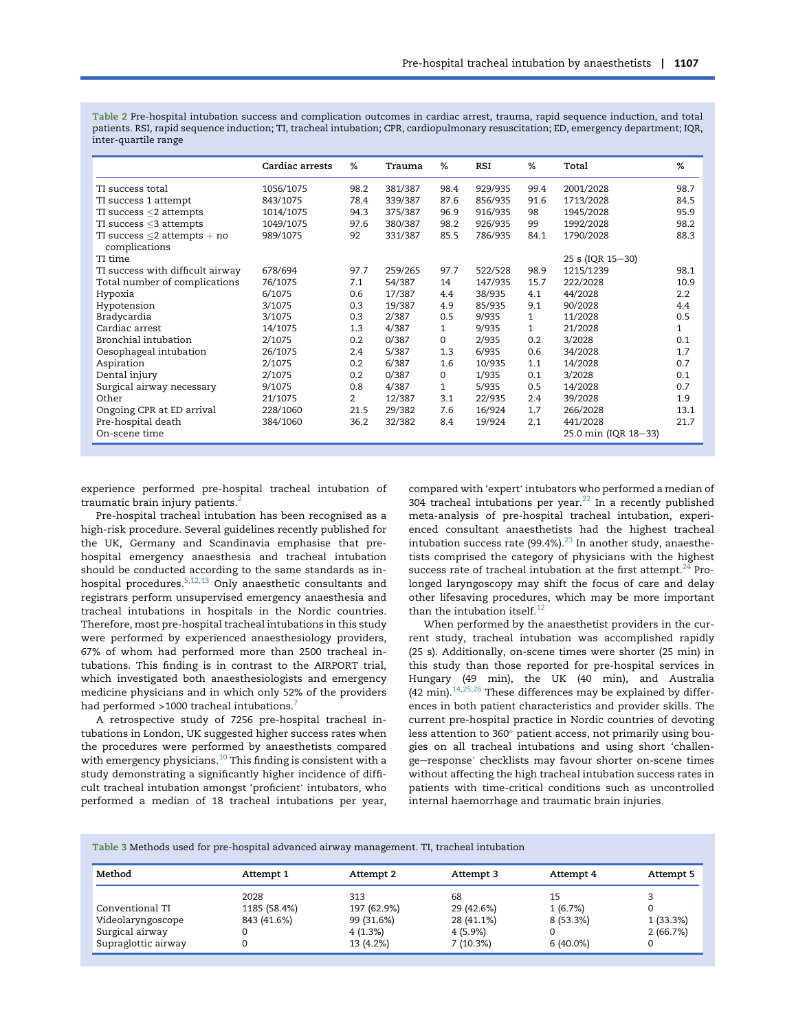<span id="page-5-0"></span>Table 2 Pre-hospital intubation success and complication outcomes in cardiac arrest, trauma, rapid sequence induction, and total patients. RSI, rapid sequence induction; TI, tracheal intubation; CPR, cardiopulmonary resuscitation; ED, emergency department; IQR, inter-quartile range

|                                   | Cardiac arrests | %              | Trauma  | %            | RSI     | %            | Total                | %            |
|-----------------------------------|-----------------|----------------|---------|--------------|---------|--------------|----------------------|--------------|
| TI success total                  | 1056/1075       | 98.2           | 381/387 | 98.4         | 929/935 | 99.4         | 2001/2028            | 98.7         |
| TI success 1 attempt              | 843/1075        | 78.4           | 339/387 | 87.6         | 856/935 | 91.6         | 1713/2028            | 84.5         |
| TI success $\leq$ attempts        | 1014/1075       | 94.3           | 375/387 | 96.9         | 916/935 | 98           | 1945/2028            | 95.9         |
| TI success $\leq$ 3 attempts      | 1049/1075       | 97.6           | 380/387 | 98.2         | 926/935 | 99           | 1992/2028            | 98.2         |
| TI success $\leq$ 2 attempts + no | 989/1075        | 92             | 331/387 | 85.5         | 786/935 | 84.1         | 1790/2028            | 88.3         |
| complications                     |                 |                |         |              |         |              |                      |              |
| TI time                           |                 |                |         |              |         |              | 25 s (IQR 15-30)     |              |
| TI success with difficult airway  | 678/694         | 97.7           | 259/265 | 97.7         | 522/528 | 98.9         | 1215/1239            | 98.1         |
| Total number of complications     | 76/1075         | 7.1            | 54/387  | 14           | 147/935 | 15.7         | 222/2028             | 10.9         |
| Hypoxia                           | 6/1075          | 0.6            | 17/387  | 4.4          | 38/935  | 4.1          | 44/2028              | 2.2          |
| Hypotension                       | 3/1075          | 0.3            | 19/387  | 4.9          | 85/935  | 9.1          | 90/2028              | 4.4          |
| Bradycardia                       | 3/1075          | 0.3            | 2/387   | 0.5          | 9/935   | 1            | 11/2028              | 0.5          |
| Cardiac arrest                    | 14/1075         | 1.3            | 4/387   | $\mathbf{1}$ | 9/935   | $\mathbf{1}$ | 21/2028              | $\mathbf{1}$ |
| Bronchial intubation              | 2/1075          | 0.2            | 0/387   | 0            | 2/935   | 0.2          | 3/2028               | 0.1          |
| Oesophageal intubation            | 26/1075         | 2.4            | 5/387   | 1.3          | 6/935   | 0.6          | 34/2028              | 1.7          |
| Aspiration                        | 2/1075          | 0.2            | 6/387   | 1.6          | 10/935  | 1.1          | 14/2028              | 0.7          |
| Dental injury                     | 2/1075          | 0.2            | 0/387   | 0            | 1/935   | 0.1          | 3/2028               | 0.1          |
| Surgical airway necessary         | 9/1075          | 0.8            | 4/387   | $\mathbf{1}$ | 5/935   | 0.5          | 14/2028              | 0.7          |
| Other                             | 21/1075         | $\overline{2}$ | 12/387  | 3.1          | 22/935  | 2.4          | 39/2028              | 1.9          |
| Ongoing CPR at ED arrival         | 228/1060        | 21.5           | 29/382  | 7.6          | 16/924  | 1.7          | 266/2028             | 13.1         |
| Pre-hospital death                | 384/1060        | 36.2           | 32/382  | 8.4          | 19/924  | 2.1          | 441/2028             | 21.7         |
| On-scene time                     |                 |                |         |              |         |              | 25.0 min (IQR 18-33) |              |

experience performed pre-hospital tracheal intubation of traumatic brain injury patients.<sup>[2](#page-6-0)</sup>

Pre-hospital tracheal intubation has been recognised as a high-risk procedure. Several guidelines recently published for the UK, Germany and Scandinavia emphasise that prehospital emergency anaesthesia and tracheal intubation should be conducted according to the same standards as inhospital procedures.[5,12,13](#page-7-0) Only anaesthetic consultants and registrars perform unsupervised emergency anaesthesia and tracheal intubations in hospitals in the Nordic countries. Therefore, most pre-hospital tracheal intubations in this study were performed by experienced anaesthesiology providers, 67% of whom had performed more than 2500 tracheal intubations. This finding is in contrast to the AIRPORT trial, which investigated both anaesthesiologists and emergency medicine physicians and in which only 52% of the providers had performed >1000 tracheal intubations.<sup>[7](#page-7-0)</sup>

A retrospective study of 7256 pre-hospital tracheal intubations in London, UK suggested higher success rates when the procedures were performed by anaesthetists compared with emergency physicians.<sup>[10](#page-7-0)</sup> This finding is consistent with a study demonstrating a significantly higher incidence of diffi-cult tracheal intubation amongst 'proficient' intubators, who performed a median of 18 tracheal intubations per year, compared with 'expert' intubators who performed a median of 304 tracheal intubations per year. $22$  In a recently published meta-analysis of pre-hospital tracheal intubation, experienced consultant anaesthetists had the highest tracheal intubation success rate (99.4%). $^{23}$  $^{23}$  $^{23}$  In another study, anaesthetists comprised the category of physicians with the highest success rate of tracheal intubation at the first attempt. $24$  Prolonged laryngoscopy may shift the focus of care and delay other lifesaving procedures, which may be more important than the intubation itself. $^{12}$  $^{12}$  $^{12}$ 

When performed by the anaesthetist providers in the current study, tracheal intubation was accomplished rapidly (25 s). Additionally, on-scene times were shorter (25 min) in this study than those reported for pre-hospital services in Hungary (49 min), the UK (40 min), and Australia (42 min).<sup>[14,25,26](#page-7-0)</sup> These differences may be explained by differences in both patient characteristics and provider skills. The current pre-hospital practice in Nordic countries of devoting less attention to 360° patient access, not primarily using bougies on all tracheal intubations and using short 'challenge-response' checklists may favour shorter on-scene times without affecting the high tracheal intubation success rates in patients with time-critical conditions such as uncontrolled internal haemorrhage and traumatic brain injuries.

Table 3 Methods used for pre-hospital advanced airway management. TI, tracheal intubation

| Method              | Attempt 1    | Attempt 2   | Attempt 3  | Attempt 4   | Attempt 5 |
|---------------------|--------------|-------------|------------|-------------|-----------|
|                     | 2028         | 313         | 68         | 15          |           |
| Conventional TI     | 1185 (58.4%) | 197 (62.9%) | 29 (42.6%) | 1(6.7%)     |           |
| Videolaryngoscope   | 843 (41.6%)  | 99 (31.6%)  | 28 (41.1%) | 8 (53.3%)   | 1(33.3%)  |
| Surgical airway     |              | 4(1.3%)     | 4 (5.9%)   |             | 2(66.7%)  |
| Supraglottic airway |              | 13 (4.2%)   | 7(10.3%)   | $6(40.0\%)$ |           |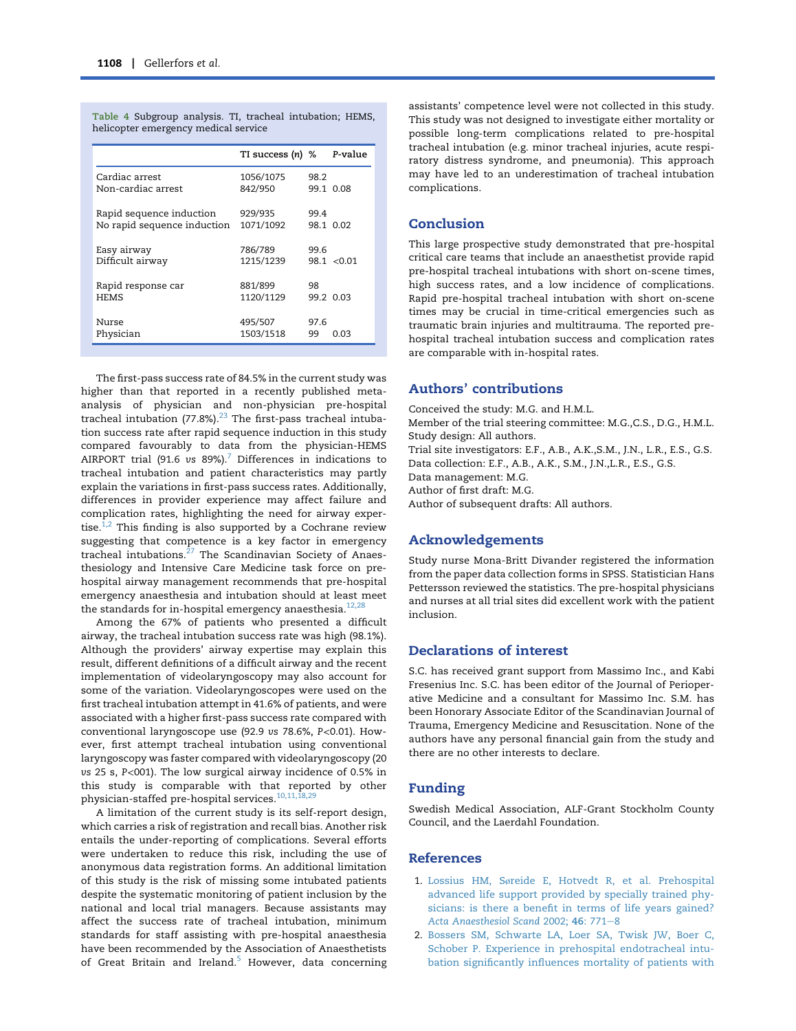|                                                         | TI success $(n)$ %   |            | P-value     |
|---------------------------------------------------------|----------------------|------------|-------------|
| Cardiac arrest<br>Non-cardiac arrest                    | 1056/1075<br>842/950 | 98.2       | 99.1 0.08   |
| Rapid sequence induction<br>No rapid sequence induction | 929/935<br>1071/1092 | 99.4       | 98.1 0.02   |
| Easy airway<br>Difficult airway                         | 786/789<br>1215/1239 | 99.6       | 98.1 < 0.01 |
| Rapid response car<br><b>HEMS</b>                       | 881/899<br>1120/1129 | 98         | 99.2 0.03   |
| Nurse<br>Physician                                      | 495/507<br>1503/1518 | 97.6<br>99 | 0.03        |

<span id="page-6-0"></span>Table 4 Subgroup analysis. TI, tracheal intubation; HEMS, helicopter emergency medical service

The first-pass success rate of 84.5% in the current study was higher than that reported in a recently published metaanalysis of physician and non-physician pre-hospital tracheal intubation  $(77.8\%)$ .<sup>[23](#page-7-0)</sup> The first-pass tracheal intubation success rate after rapid sequence induction in this study compared favourably to data from the physician-HEMS AIRPORT trial (91.6 vs  $89\%$ ).<sup>[7](#page-7-0)</sup> Differences in indications to tracheal intubation and patient characteristics may partly explain the variations in first-pass success rates. Additionally, differences in provider experience may affect failure and complication rates, highlighting the need for airway expertise. $1,2$  This finding is also supported by a Cochrane review suggesting that competence is a key factor in emergency tracheal intubations.[27](#page-7-0) The Scandinavian Society of Anaesthesiology and Intensive Care Medicine task force on prehospital airway management recommends that pre-hospital emergency anaesthesia and intubation should at least meet the standards for in-hospital emergency anaesthesia.<sup>[12,28](#page-7-0)</sup>

Among the 67% of patients who presented a difficult airway, the tracheal intubation success rate was high (98.1%). Although the providers' airway expertise may explain this result, different definitions of a difficult airway and the recent implementation of videolaryngoscopy may also account for some of the variation. Videolaryngoscopes were used on the first tracheal intubation attempt in 41.6% of patients, and were associated with a higher first-pass success rate compared with conventional laryngoscope use (92.9 vs 78.6%, P<0.01). However, first attempt tracheal intubation using conventional laryngoscopy was faster compared with videolaryngoscopy (20 vs 25 s, P<001). The low surgical airway incidence of 0.5% in this study is comparable with that reported by other physician-staffed pre-hospital services. $10,11,18$ 

A limitation of the current study is its self-report design, which carries a risk of registration and recall bias. Another risk entails the under-reporting of complications. Several efforts were undertaken to reduce this risk, including the use of anonymous data registration forms. An additional limitation of this study is the risk of missing some intubated patients despite the systematic monitoring of patient inclusion by the national and local trial managers. Because assistants may affect the success rate of tracheal intubation, minimum standards for staff assisting with pre-hospital anaesthesia have been recommended by the Association of Anaesthetists of Great Britain and Ireland.<sup>[5](#page-7-0)</sup> However, data concerning assistants' competence level were not collected in this study. This study was not designed to investigate either mortality or possible long-term complications related to pre-hospital tracheal intubation (e.g. minor tracheal injuries, acute respiratory distress syndrome, and pneumonia). This approach may have led to an underestimation of tracheal intubation complications.

# Conclusion

This large prospective study demonstrated that pre-hospital critical care teams that include an anaesthetist provide rapid pre-hospital tracheal intubations with short on-scene times, high success rates, and a low incidence of complications. Rapid pre-hospital tracheal intubation with short on-scene times may be crucial in time-critical emergencies such as traumatic brain injuries and multitrauma. The reported prehospital tracheal intubation success and complication rates are comparable with in-hospital rates.

# Authors' contributions

Conceived the study: M.G. and H.M.L.

Member of the trial steering committee: M.G.,C.S., D.G., H.M.L. Study design: All authors.

Trial site investigators: E.F., A.B., A.K.,S.M., J.N., L.R., E.S., G.S. Data collection: E.F., A.B., A.K., S.M., J.N.,L.R., E.S., G.S.

Data management: M.G.

Author of first draft: M.G.

Author of subsequent drafts: All authors.

#### Acknowledgements

Study nurse Mona-Britt Divander registered the information from the paper data collection forms in SPSS. Statistician Hans Pettersson reviewed the statistics. The pre-hospital physicians and nurses at all trial sites did excellent work with the patient inclusion.

# Declarations of interest

S.C. has received grant support from Massimo Inc., and Kabi Fresenius Inc. S.C. has been editor of the Journal of Perioperative Medicine and a consultant for Massimo Inc. S.M. has been Honorary Associate Editor of the Scandinavian Journal of Trauma, Emergency Medicine and Resuscitation. None of the authors have any personal financial gain from the study and there are no other interests to declare.

# Funding

Swedish Medical Association, ALF-Grant Stockholm County Council, and the Laerdahl Foundation.

# References

- 1. Lossius HM, Sø[reide E, Hotvedt R, et al. Prehospital](http://refhub.elsevier.com/S0007-0912(17)54237-3/sref1) [advanced life support provided by specially trained phy](http://refhub.elsevier.com/S0007-0912(17)54237-3/sref1)[sicians: is there a benefit in terms of life years gained?](http://refhub.elsevier.com/S0007-0912(17)54237-3/sref1) [Acta Anaesthesiol Scand](http://refhub.elsevier.com/S0007-0912(17)54237-3/sref1) 2002; 46: 771-[8](http://refhub.elsevier.com/S0007-0912(17)54237-3/sref1)
- 2. [Bossers SM, Schwarte LA, Loer SA, Twisk JW, Boer C,](http://refhub.elsevier.com/S0007-0912(17)54237-3/sref2) [Schober P. Experience in prehospital endotracheal intu](http://refhub.elsevier.com/S0007-0912(17)54237-3/sref2)[bation significantly influences mortality of patients with](http://refhub.elsevier.com/S0007-0912(17)54237-3/sref2)